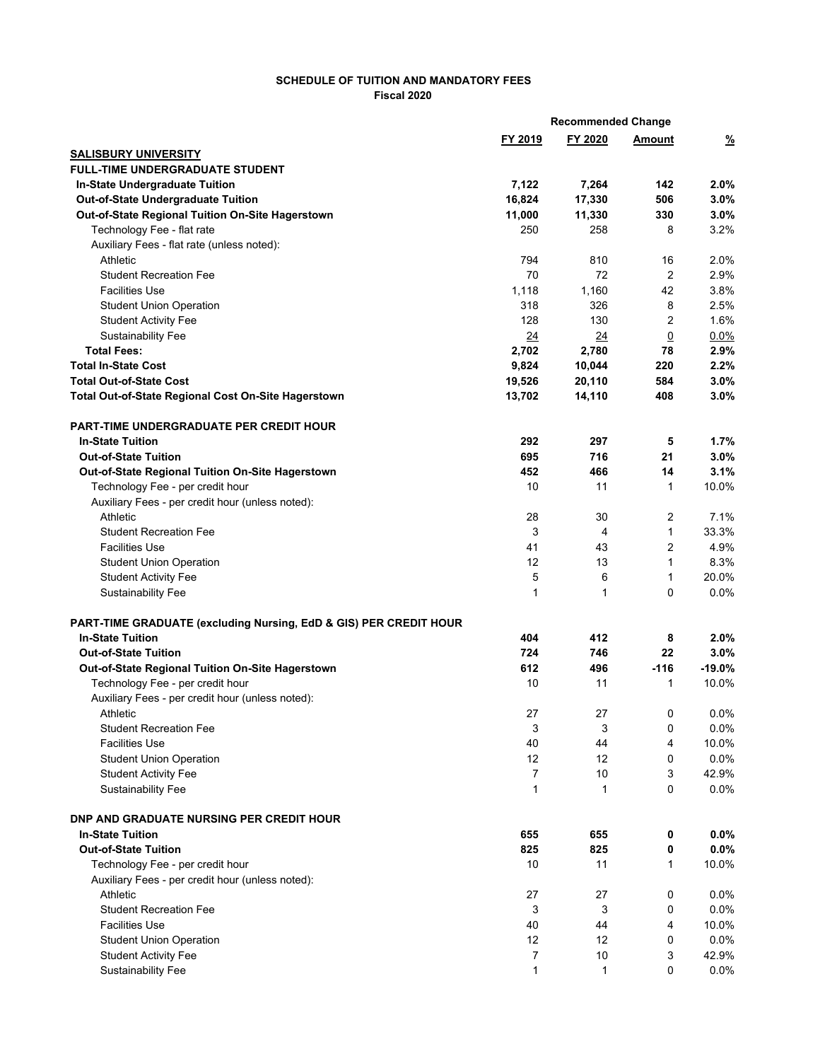## **SCHEDULE OF TUITION AND MANDATORY FEES Fiscal 2020**

| FY 2019<br>FY 2020<br>$\frac{9}{6}$<br>Amount<br><b>SALISBURY UNIVERSITY</b><br><b>FULL-TIME UNDERGRADUATE STUDENT</b><br>In-State Undergraduate Tuition<br>7,122<br>7,264<br>142<br>2.0%<br>506<br>3.0%<br><b>Out-of-State Undergraduate Tuition</b><br>16,824<br>17,330<br>11,000<br>330<br>3.0%<br>Out-of-State Regional Tuition On-Site Hagerstown<br>11,330<br>3.2%<br>Technology Fee - flat rate<br>250<br>258<br>8<br>Auxiliary Fees - flat rate (unless noted):<br>Athletic<br>794<br>810<br>16<br>2.0%<br>70<br>72<br>$\overline{2}$<br>2.9%<br><b>Student Recreation Fee</b><br><b>Facilities Use</b><br>1,118<br>1,160<br>42<br>3.8%<br>318<br>326<br>8<br>2.5%<br><b>Student Union Operation</b><br>$\overline{2}$<br><b>Student Activity Fee</b><br>128<br>130<br>1.6%<br><b>Sustainability Fee</b><br>24<br>24<br>$\overline{0}$<br>0.0%<br><b>Total Fees:</b><br>2,780<br>2.9%<br>2,702<br>78<br><b>Total In-State Cost</b><br>9,824<br>10,044<br>220<br>2.2%<br><b>Total Out-of-State Cost</b><br>19,526<br>20,110<br>584<br>3.0%<br>408<br>Total Out-of-State Regional Cost On-Site Hagerstown<br>13,702<br>14,110<br>3.0%<br><b>PART-TIME UNDERGRADUATE PER CREDIT HOUR</b><br><b>In-State Tuition</b><br>292<br>297<br>5<br>$1.7\%$<br>695<br>716<br>3.0%<br><b>Out-of-State Tuition</b><br>21<br>452<br>466<br>14<br>3.1%<br>Out-of-State Regional Tuition On-Site Hagerstown<br>10<br>11<br>Technology Fee - per credit hour<br>$\mathbf{1}$<br>10.0%<br>Auxiliary Fees - per credit hour (unless noted):<br>$\overline{2}$<br>7.1%<br>Athletic<br>28<br>30<br>$\mathbf{1}$<br>3<br>33.3%<br><b>Student Recreation Fee</b><br>4<br>2<br>4.9%<br><b>Facilities Use</b><br>41<br>43<br>$\mathbf{1}$<br>8.3%<br>12<br>13<br><b>Student Union Operation</b><br>5<br>$\mathbf{1}$<br><b>Student Activity Fee</b><br>6<br>20.0%<br>$\mathbf{1}$<br>$\Omega$<br>0.0%<br><b>Sustainability Fee</b><br>$\mathbf{1}$<br>PART-TIME GRADUATE (excluding Nursing, EdD & GIS) PER CREDIT HOUR<br><b>In-State Tuition</b><br>8<br>404<br>412<br>$2.0\%$<br>724<br>746<br>22<br>3.0%<br><b>Out-of-State Tuition</b><br>496<br>$-116$<br>$-19.0%$<br>Out-of-State Regional Tuition On-Site Hagerstown<br>612<br>Technology Fee - per credit hour<br>10<br>11<br>1<br>10.0%<br>Auxiliary Fees - per credit hour (unless noted):<br>0.0%<br>27<br>27<br>0<br>Athletic<br><b>Student Recreation Fee</b><br>3<br>3<br>0<br>0.0%<br><b>Facilities Use</b><br>40<br>44<br>4<br>10.0%<br><b>Student Union Operation</b><br>12<br>12<br>0<br>0.0%<br>42.9%<br>$\overline{7}$<br>10<br>3<br><b>Student Activity Fee</b><br>0<br>0.0%<br>Sustainability Fee<br>$\mathbf 1$<br>1<br><b>DNP AND GRADUATE NURSING PER CREDIT HOUR</b><br><b>In-State Tuition</b><br>655<br>655<br>$0.0\%$<br>0<br><b>Out-of-State Tuition</b><br>825<br>825<br>0.0%<br>0<br>Technology Fee - per credit hour<br>10<br>11<br>$\mathbf{1}$<br>10.0%<br>Auxiliary Fees - per credit hour (unless noted):<br>Athletic<br>27<br>27<br>0.0%<br>0<br><b>Student Recreation Fee</b><br>3<br>3<br>0<br>0.0%<br>40<br>44<br>4<br>10.0%<br><b>Facilities Use</b><br>12<br>12<br>0.0%<br><b>Student Union Operation</b><br>0<br>7<br><b>Student Activity Fee</b><br>10<br>3<br>42.9% |  | <b>Recommended Change</b> |  |
|-------------------------------------------------------------------------------------------------------------------------------------------------------------------------------------------------------------------------------------------------------------------------------------------------------------------------------------------------------------------------------------------------------------------------------------------------------------------------------------------------------------------------------------------------------------------------------------------------------------------------------------------------------------------------------------------------------------------------------------------------------------------------------------------------------------------------------------------------------------------------------------------------------------------------------------------------------------------------------------------------------------------------------------------------------------------------------------------------------------------------------------------------------------------------------------------------------------------------------------------------------------------------------------------------------------------------------------------------------------------------------------------------------------------------------------------------------------------------------------------------------------------------------------------------------------------------------------------------------------------------------------------------------------------------------------------------------------------------------------------------------------------------------------------------------------------------------------------------------------------------------------------------------------------------------------------------------------------------------------------------------------------------------------------------------------------------------------------------------------------------------------------------------------------------------------------------------------------------------------------------------------------------------------------------------------------------------------------------------------------------------------------------------------------------------------------------------------------------------------------------------------------------------------------------------------------------------------------------------------------------------------------------------------------------------------------------------------------------------------------------------------------------------------------------------------------------------------------------------------------------------------------------------------------------------------------------------------------------------------------------------------------------------------------------------------------------------------------------------------------------------------------------------------------------------------------------------------------------------------------------|--|---------------------------|--|
|                                                                                                                                                                                                                                                                                                                                                                                                                                                                                                                                                                                                                                                                                                                                                                                                                                                                                                                                                                                                                                                                                                                                                                                                                                                                                                                                                                                                                                                                                                                                                                                                                                                                                                                                                                                                                                                                                                                                                                                                                                                                                                                                                                                                                                                                                                                                                                                                                                                                                                                                                                                                                                                                                                                                                                                                                                                                                                                                                                                                                                                                                                                                                                                                                                                 |  |                           |  |
|                                                                                                                                                                                                                                                                                                                                                                                                                                                                                                                                                                                                                                                                                                                                                                                                                                                                                                                                                                                                                                                                                                                                                                                                                                                                                                                                                                                                                                                                                                                                                                                                                                                                                                                                                                                                                                                                                                                                                                                                                                                                                                                                                                                                                                                                                                                                                                                                                                                                                                                                                                                                                                                                                                                                                                                                                                                                                                                                                                                                                                                                                                                                                                                                                                                 |  |                           |  |
|                                                                                                                                                                                                                                                                                                                                                                                                                                                                                                                                                                                                                                                                                                                                                                                                                                                                                                                                                                                                                                                                                                                                                                                                                                                                                                                                                                                                                                                                                                                                                                                                                                                                                                                                                                                                                                                                                                                                                                                                                                                                                                                                                                                                                                                                                                                                                                                                                                                                                                                                                                                                                                                                                                                                                                                                                                                                                                                                                                                                                                                                                                                                                                                                                                                 |  |                           |  |
|                                                                                                                                                                                                                                                                                                                                                                                                                                                                                                                                                                                                                                                                                                                                                                                                                                                                                                                                                                                                                                                                                                                                                                                                                                                                                                                                                                                                                                                                                                                                                                                                                                                                                                                                                                                                                                                                                                                                                                                                                                                                                                                                                                                                                                                                                                                                                                                                                                                                                                                                                                                                                                                                                                                                                                                                                                                                                                                                                                                                                                                                                                                                                                                                                                                 |  |                           |  |
|                                                                                                                                                                                                                                                                                                                                                                                                                                                                                                                                                                                                                                                                                                                                                                                                                                                                                                                                                                                                                                                                                                                                                                                                                                                                                                                                                                                                                                                                                                                                                                                                                                                                                                                                                                                                                                                                                                                                                                                                                                                                                                                                                                                                                                                                                                                                                                                                                                                                                                                                                                                                                                                                                                                                                                                                                                                                                                                                                                                                                                                                                                                                                                                                                                                 |  |                           |  |
|                                                                                                                                                                                                                                                                                                                                                                                                                                                                                                                                                                                                                                                                                                                                                                                                                                                                                                                                                                                                                                                                                                                                                                                                                                                                                                                                                                                                                                                                                                                                                                                                                                                                                                                                                                                                                                                                                                                                                                                                                                                                                                                                                                                                                                                                                                                                                                                                                                                                                                                                                                                                                                                                                                                                                                                                                                                                                                                                                                                                                                                                                                                                                                                                                                                 |  |                           |  |
|                                                                                                                                                                                                                                                                                                                                                                                                                                                                                                                                                                                                                                                                                                                                                                                                                                                                                                                                                                                                                                                                                                                                                                                                                                                                                                                                                                                                                                                                                                                                                                                                                                                                                                                                                                                                                                                                                                                                                                                                                                                                                                                                                                                                                                                                                                                                                                                                                                                                                                                                                                                                                                                                                                                                                                                                                                                                                                                                                                                                                                                                                                                                                                                                                                                 |  |                           |  |
|                                                                                                                                                                                                                                                                                                                                                                                                                                                                                                                                                                                                                                                                                                                                                                                                                                                                                                                                                                                                                                                                                                                                                                                                                                                                                                                                                                                                                                                                                                                                                                                                                                                                                                                                                                                                                                                                                                                                                                                                                                                                                                                                                                                                                                                                                                                                                                                                                                                                                                                                                                                                                                                                                                                                                                                                                                                                                                                                                                                                                                                                                                                                                                                                                                                 |  |                           |  |
|                                                                                                                                                                                                                                                                                                                                                                                                                                                                                                                                                                                                                                                                                                                                                                                                                                                                                                                                                                                                                                                                                                                                                                                                                                                                                                                                                                                                                                                                                                                                                                                                                                                                                                                                                                                                                                                                                                                                                                                                                                                                                                                                                                                                                                                                                                                                                                                                                                                                                                                                                                                                                                                                                                                                                                                                                                                                                                                                                                                                                                                                                                                                                                                                                                                 |  |                           |  |
|                                                                                                                                                                                                                                                                                                                                                                                                                                                                                                                                                                                                                                                                                                                                                                                                                                                                                                                                                                                                                                                                                                                                                                                                                                                                                                                                                                                                                                                                                                                                                                                                                                                                                                                                                                                                                                                                                                                                                                                                                                                                                                                                                                                                                                                                                                                                                                                                                                                                                                                                                                                                                                                                                                                                                                                                                                                                                                                                                                                                                                                                                                                                                                                                                                                 |  |                           |  |
|                                                                                                                                                                                                                                                                                                                                                                                                                                                                                                                                                                                                                                                                                                                                                                                                                                                                                                                                                                                                                                                                                                                                                                                                                                                                                                                                                                                                                                                                                                                                                                                                                                                                                                                                                                                                                                                                                                                                                                                                                                                                                                                                                                                                                                                                                                                                                                                                                                                                                                                                                                                                                                                                                                                                                                                                                                                                                                                                                                                                                                                                                                                                                                                                                                                 |  |                           |  |
|                                                                                                                                                                                                                                                                                                                                                                                                                                                                                                                                                                                                                                                                                                                                                                                                                                                                                                                                                                                                                                                                                                                                                                                                                                                                                                                                                                                                                                                                                                                                                                                                                                                                                                                                                                                                                                                                                                                                                                                                                                                                                                                                                                                                                                                                                                                                                                                                                                                                                                                                                                                                                                                                                                                                                                                                                                                                                                                                                                                                                                                                                                                                                                                                                                                 |  |                           |  |
|                                                                                                                                                                                                                                                                                                                                                                                                                                                                                                                                                                                                                                                                                                                                                                                                                                                                                                                                                                                                                                                                                                                                                                                                                                                                                                                                                                                                                                                                                                                                                                                                                                                                                                                                                                                                                                                                                                                                                                                                                                                                                                                                                                                                                                                                                                                                                                                                                                                                                                                                                                                                                                                                                                                                                                                                                                                                                                                                                                                                                                                                                                                                                                                                                                                 |  |                           |  |
|                                                                                                                                                                                                                                                                                                                                                                                                                                                                                                                                                                                                                                                                                                                                                                                                                                                                                                                                                                                                                                                                                                                                                                                                                                                                                                                                                                                                                                                                                                                                                                                                                                                                                                                                                                                                                                                                                                                                                                                                                                                                                                                                                                                                                                                                                                                                                                                                                                                                                                                                                                                                                                                                                                                                                                                                                                                                                                                                                                                                                                                                                                                                                                                                                                                 |  |                           |  |
|                                                                                                                                                                                                                                                                                                                                                                                                                                                                                                                                                                                                                                                                                                                                                                                                                                                                                                                                                                                                                                                                                                                                                                                                                                                                                                                                                                                                                                                                                                                                                                                                                                                                                                                                                                                                                                                                                                                                                                                                                                                                                                                                                                                                                                                                                                                                                                                                                                                                                                                                                                                                                                                                                                                                                                                                                                                                                                                                                                                                                                                                                                                                                                                                                                                 |  |                           |  |
|                                                                                                                                                                                                                                                                                                                                                                                                                                                                                                                                                                                                                                                                                                                                                                                                                                                                                                                                                                                                                                                                                                                                                                                                                                                                                                                                                                                                                                                                                                                                                                                                                                                                                                                                                                                                                                                                                                                                                                                                                                                                                                                                                                                                                                                                                                                                                                                                                                                                                                                                                                                                                                                                                                                                                                                                                                                                                                                                                                                                                                                                                                                                                                                                                                                 |  |                           |  |
|                                                                                                                                                                                                                                                                                                                                                                                                                                                                                                                                                                                                                                                                                                                                                                                                                                                                                                                                                                                                                                                                                                                                                                                                                                                                                                                                                                                                                                                                                                                                                                                                                                                                                                                                                                                                                                                                                                                                                                                                                                                                                                                                                                                                                                                                                                                                                                                                                                                                                                                                                                                                                                                                                                                                                                                                                                                                                                                                                                                                                                                                                                                                                                                                                                                 |  |                           |  |
|                                                                                                                                                                                                                                                                                                                                                                                                                                                                                                                                                                                                                                                                                                                                                                                                                                                                                                                                                                                                                                                                                                                                                                                                                                                                                                                                                                                                                                                                                                                                                                                                                                                                                                                                                                                                                                                                                                                                                                                                                                                                                                                                                                                                                                                                                                                                                                                                                                                                                                                                                                                                                                                                                                                                                                                                                                                                                                                                                                                                                                                                                                                                                                                                                                                 |  |                           |  |
|                                                                                                                                                                                                                                                                                                                                                                                                                                                                                                                                                                                                                                                                                                                                                                                                                                                                                                                                                                                                                                                                                                                                                                                                                                                                                                                                                                                                                                                                                                                                                                                                                                                                                                                                                                                                                                                                                                                                                                                                                                                                                                                                                                                                                                                                                                                                                                                                                                                                                                                                                                                                                                                                                                                                                                                                                                                                                                                                                                                                                                                                                                                                                                                                                                                 |  |                           |  |
|                                                                                                                                                                                                                                                                                                                                                                                                                                                                                                                                                                                                                                                                                                                                                                                                                                                                                                                                                                                                                                                                                                                                                                                                                                                                                                                                                                                                                                                                                                                                                                                                                                                                                                                                                                                                                                                                                                                                                                                                                                                                                                                                                                                                                                                                                                                                                                                                                                                                                                                                                                                                                                                                                                                                                                                                                                                                                                                                                                                                                                                                                                                                                                                                                                                 |  |                           |  |
|                                                                                                                                                                                                                                                                                                                                                                                                                                                                                                                                                                                                                                                                                                                                                                                                                                                                                                                                                                                                                                                                                                                                                                                                                                                                                                                                                                                                                                                                                                                                                                                                                                                                                                                                                                                                                                                                                                                                                                                                                                                                                                                                                                                                                                                                                                                                                                                                                                                                                                                                                                                                                                                                                                                                                                                                                                                                                                                                                                                                                                                                                                                                                                                                                                                 |  |                           |  |
|                                                                                                                                                                                                                                                                                                                                                                                                                                                                                                                                                                                                                                                                                                                                                                                                                                                                                                                                                                                                                                                                                                                                                                                                                                                                                                                                                                                                                                                                                                                                                                                                                                                                                                                                                                                                                                                                                                                                                                                                                                                                                                                                                                                                                                                                                                                                                                                                                                                                                                                                                                                                                                                                                                                                                                                                                                                                                                                                                                                                                                                                                                                                                                                                                                                 |  |                           |  |
|                                                                                                                                                                                                                                                                                                                                                                                                                                                                                                                                                                                                                                                                                                                                                                                                                                                                                                                                                                                                                                                                                                                                                                                                                                                                                                                                                                                                                                                                                                                                                                                                                                                                                                                                                                                                                                                                                                                                                                                                                                                                                                                                                                                                                                                                                                                                                                                                                                                                                                                                                                                                                                                                                                                                                                                                                                                                                                                                                                                                                                                                                                                                                                                                                                                 |  |                           |  |
|                                                                                                                                                                                                                                                                                                                                                                                                                                                                                                                                                                                                                                                                                                                                                                                                                                                                                                                                                                                                                                                                                                                                                                                                                                                                                                                                                                                                                                                                                                                                                                                                                                                                                                                                                                                                                                                                                                                                                                                                                                                                                                                                                                                                                                                                                                                                                                                                                                                                                                                                                                                                                                                                                                                                                                                                                                                                                                                                                                                                                                                                                                                                                                                                                                                 |  |                           |  |
|                                                                                                                                                                                                                                                                                                                                                                                                                                                                                                                                                                                                                                                                                                                                                                                                                                                                                                                                                                                                                                                                                                                                                                                                                                                                                                                                                                                                                                                                                                                                                                                                                                                                                                                                                                                                                                                                                                                                                                                                                                                                                                                                                                                                                                                                                                                                                                                                                                                                                                                                                                                                                                                                                                                                                                                                                                                                                                                                                                                                                                                                                                                                                                                                                                                 |  |                           |  |
|                                                                                                                                                                                                                                                                                                                                                                                                                                                                                                                                                                                                                                                                                                                                                                                                                                                                                                                                                                                                                                                                                                                                                                                                                                                                                                                                                                                                                                                                                                                                                                                                                                                                                                                                                                                                                                                                                                                                                                                                                                                                                                                                                                                                                                                                                                                                                                                                                                                                                                                                                                                                                                                                                                                                                                                                                                                                                                                                                                                                                                                                                                                                                                                                                                                 |  |                           |  |
|                                                                                                                                                                                                                                                                                                                                                                                                                                                                                                                                                                                                                                                                                                                                                                                                                                                                                                                                                                                                                                                                                                                                                                                                                                                                                                                                                                                                                                                                                                                                                                                                                                                                                                                                                                                                                                                                                                                                                                                                                                                                                                                                                                                                                                                                                                                                                                                                                                                                                                                                                                                                                                                                                                                                                                                                                                                                                                                                                                                                                                                                                                                                                                                                                                                 |  |                           |  |
|                                                                                                                                                                                                                                                                                                                                                                                                                                                                                                                                                                                                                                                                                                                                                                                                                                                                                                                                                                                                                                                                                                                                                                                                                                                                                                                                                                                                                                                                                                                                                                                                                                                                                                                                                                                                                                                                                                                                                                                                                                                                                                                                                                                                                                                                                                                                                                                                                                                                                                                                                                                                                                                                                                                                                                                                                                                                                                                                                                                                                                                                                                                                                                                                                                                 |  |                           |  |
|                                                                                                                                                                                                                                                                                                                                                                                                                                                                                                                                                                                                                                                                                                                                                                                                                                                                                                                                                                                                                                                                                                                                                                                                                                                                                                                                                                                                                                                                                                                                                                                                                                                                                                                                                                                                                                                                                                                                                                                                                                                                                                                                                                                                                                                                                                                                                                                                                                                                                                                                                                                                                                                                                                                                                                                                                                                                                                                                                                                                                                                                                                                                                                                                                                                 |  |                           |  |
|                                                                                                                                                                                                                                                                                                                                                                                                                                                                                                                                                                                                                                                                                                                                                                                                                                                                                                                                                                                                                                                                                                                                                                                                                                                                                                                                                                                                                                                                                                                                                                                                                                                                                                                                                                                                                                                                                                                                                                                                                                                                                                                                                                                                                                                                                                                                                                                                                                                                                                                                                                                                                                                                                                                                                                                                                                                                                                                                                                                                                                                                                                                                                                                                                                                 |  |                           |  |
|                                                                                                                                                                                                                                                                                                                                                                                                                                                                                                                                                                                                                                                                                                                                                                                                                                                                                                                                                                                                                                                                                                                                                                                                                                                                                                                                                                                                                                                                                                                                                                                                                                                                                                                                                                                                                                                                                                                                                                                                                                                                                                                                                                                                                                                                                                                                                                                                                                                                                                                                                                                                                                                                                                                                                                                                                                                                                                                                                                                                                                                                                                                                                                                                                                                 |  |                           |  |
|                                                                                                                                                                                                                                                                                                                                                                                                                                                                                                                                                                                                                                                                                                                                                                                                                                                                                                                                                                                                                                                                                                                                                                                                                                                                                                                                                                                                                                                                                                                                                                                                                                                                                                                                                                                                                                                                                                                                                                                                                                                                                                                                                                                                                                                                                                                                                                                                                                                                                                                                                                                                                                                                                                                                                                                                                                                                                                                                                                                                                                                                                                                                                                                                                                                 |  |                           |  |
|                                                                                                                                                                                                                                                                                                                                                                                                                                                                                                                                                                                                                                                                                                                                                                                                                                                                                                                                                                                                                                                                                                                                                                                                                                                                                                                                                                                                                                                                                                                                                                                                                                                                                                                                                                                                                                                                                                                                                                                                                                                                                                                                                                                                                                                                                                                                                                                                                                                                                                                                                                                                                                                                                                                                                                                                                                                                                                                                                                                                                                                                                                                                                                                                                                                 |  |                           |  |
|                                                                                                                                                                                                                                                                                                                                                                                                                                                                                                                                                                                                                                                                                                                                                                                                                                                                                                                                                                                                                                                                                                                                                                                                                                                                                                                                                                                                                                                                                                                                                                                                                                                                                                                                                                                                                                                                                                                                                                                                                                                                                                                                                                                                                                                                                                                                                                                                                                                                                                                                                                                                                                                                                                                                                                                                                                                                                                                                                                                                                                                                                                                                                                                                                                                 |  |                           |  |
|                                                                                                                                                                                                                                                                                                                                                                                                                                                                                                                                                                                                                                                                                                                                                                                                                                                                                                                                                                                                                                                                                                                                                                                                                                                                                                                                                                                                                                                                                                                                                                                                                                                                                                                                                                                                                                                                                                                                                                                                                                                                                                                                                                                                                                                                                                                                                                                                                                                                                                                                                                                                                                                                                                                                                                                                                                                                                                                                                                                                                                                                                                                                                                                                                                                 |  |                           |  |
|                                                                                                                                                                                                                                                                                                                                                                                                                                                                                                                                                                                                                                                                                                                                                                                                                                                                                                                                                                                                                                                                                                                                                                                                                                                                                                                                                                                                                                                                                                                                                                                                                                                                                                                                                                                                                                                                                                                                                                                                                                                                                                                                                                                                                                                                                                                                                                                                                                                                                                                                                                                                                                                                                                                                                                                                                                                                                                                                                                                                                                                                                                                                                                                                                                                 |  |                           |  |
|                                                                                                                                                                                                                                                                                                                                                                                                                                                                                                                                                                                                                                                                                                                                                                                                                                                                                                                                                                                                                                                                                                                                                                                                                                                                                                                                                                                                                                                                                                                                                                                                                                                                                                                                                                                                                                                                                                                                                                                                                                                                                                                                                                                                                                                                                                                                                                                                                                                                                                                                                                                                                                                                                                                                                                                                                                                                                                                                                                                                                                                                                                                                                                                                                                                 |  |                           |  |
|                                                                                                                                                                                                                                                                                                                                                                                                                                                                                                                                                                                                                                                                                                                                                                                                                                                                                                                                                                                                                                                                                                                                                                                                                                                                                                                                                                                                                                                                                                                                                                                                                                                                                                                                                                                                                                                                                                                                                                                                                                                                                                                                                                                                                                                                                                                                                                                                                                                                                                                                                                                                                                                                                                                                                                                                                                                                                                                                                                                                                                                                                                                                                                                                                                                 |  |                           |  |
|                                                                                                                                                                                                                                                                                                                                                                                                                                                                                                                                                                                                                                                                                                                                                                                                                                                                                                                                                                                                                                                                                                                                                                                                                                                                                                                                                                                                                                                                                                                                                                                                                                                                                                                                                                                                                                                                                                                                                                                                                                                                                                                                                                                                                                                                                                                                                                                                                                                                                                                                                                                                                                                                                                                                                                                                                                                                                                                                                                                                                                                                                                                                                                                                                                                 |  |                           |  |
|                                                                                                                                                                                                                                                                                                                                                                                                                                                                                                                                                                                                                                                                                                                                                                                                                                                                                                                                                                                                                                                                                                                                                                                                                                                                                                                                                                                                                                                                                                                                                                                                                                                                                                                                                                                                                                                                                                                                                                                                                                                                                                                                                                                                                                                                                                                                                                                                                                                                                                                                                                                                                                                                                                                                                                                                                                                                                                                                                                                                                                                                                                                                                                                                                                                 |  |                           |  |
|                                                                                                                                                                                                                                                                                                                                                                                                                                                                                                                                                                                                                                                                                                                                                                                                                                                                                                                                                                                                                                                                                                                                                                                                                                                                                                                                                                                                                                                                                                                                                                                                                                                                                                                                                                                                                                                                                                                                                                                                                                                                                                                                                                                                                                                                                                                                                                                                                                                                                                                                                                                                                                                                                                                                                                                                                                                                                                                                                                                                                                                                                                                                                                                                                                                 |  |                           |  |
|                                                                                                                                                                                                                                                                                                                                                                                                                                                                                                                                                                                                                                                                                                                                                                                                                                                                                                                                                                                                                                                                                                                                                                                                                                                                                                                                                                                                                                                                                                                                                                                                                                                                                                                                                                                                                                                                                                                                                                                                                                                                                                                                                                                                                                                                                                                                                                                                                                                                                                                                                                                                                                                                                                                                                                                                                                                                                                                                                                                                                                                                                                                                                                                                                                                 |  |                           |  |
|                                                                                                                                                                                                                                                                                                                                                                                                                                                                                                                                                                                                                                                                                                                                                                                                                                                                                                                                                                                                                                                                                                                                                                                                                                                                                                                                                                                                                                                                                                                                                                                                                                                                                                                                                                                                                                                                                                                                                                                                                                                                                                                                                                                                                                                                                                                                                                                                                                                                                                                                                                                                                                                                                                                                                                                                                                                                                                                                                                                                                                                                                                                                                                                                                                                 |  |                           |  |
|                                                                                                                                                                                                                                                                                                                                                                                                                                                                                                                                                                                                                                                                                                                                                                                                                                                                                                                                                                                                                                                                                                                                                                                                                                                                                                                                                                                                                                                                                                                                                                                                                                                                                                                                                                                                                                                                                                                                                                                                                                                                                                                                                                                                                                                                                                                                                                                                                                                                                                                                                                                                                                                                                                                                                                                                                                                                                                                                                                                                                                                                                                                                                                                                                                                 |  |                           |  |
|                                                                                                                                                                                                                                                                                                                                                                                                                                                                                                                                                                                                                                                                                                                                                                                                                                                                                                                                                                                                                                                                                                                                                                                                                                                                                                                                                                                                                                                                                                                                                                                                                                                                                                                                                                                                                                                                                                                                                                                                                                                                                                                                                                                                                                                                                                                                                                                                                                                                                                                                                                                                                                                                                                                                                                                                                                                                                                                                                                                                                                                                                                                                                                                                                                                 |  |                           |  |
|                                                                                                                                                                                                                                                                                                                                                                                                                                                                                                                                                                                                                                                                                                                                                                                                                                                                                                                                                                                                                                                                                                                                                                                                                                                                                                                                                                                                                                                                                                                                                                                                                                                                                                                                                                                                                                                                                                                                                                                                                                                                                                                                                                                                                                                                                                                                                                                                                                                                                                                                                                                                                                                                                                                                                                                                                                                                                                                                                                                                                                                                                                                                                                                                                                                 |  |                           |  |
|                                                                                                                                                                                                                                                                                                                                                                                                                                                                                                                                                                                                                                                                                                                                                                                                                                                                                                                                                                                                                                                                                                                                                                                                                                                                                                                                                                                                                                                                                                                                                                                                                                                                                                                                                                                                                                                                                                                                                                                                                                                                                                                                                                                                                                                                                                                                                                                                                                                                                                                                                                                                                                                                                                                                                                                                                                                                                                                                                                                                                                                                                                                                                                                                                                                 |  |                           |  |
|                                                                                                                                                                                                                                                                                                                                                                                                                                                                                                                                                                                                                                                                                                                                                                                                                                                                                                                                                                                                                                                                                                                                                                                                                                                                                                                                                                                                                                                                                                                                                                                                                                                                                                                                                                                                                                                                                                                                                                                                                                                                                                                                                                                                                                                                                                                                                                                                                                                                                                                                                                                                                                                                                                                                                                                                                                                                                                                                                                                                                                                                                                                                                                                                                                                 |  |                           |  |
|                                                                                                                                                                                                                                                                                                                                                                                                                                                                                                                                                                                                                                                                                                                                                                                                                                                                                                                                                                                                                                                                                                                                                                                                                                                                                                                                                                                                                                                                                                                                                                                                                                                                                                                                                                                                                                                                                                                                                                                                                                                                                                                                                                                                                                                                                                                                                                                                                                                                                                                                                                                                                                                                                                                                                                                                                                                                                                                                                                                                                                                                                                                                                                                                                                                 |  |                           |  |
|                                                                                                                                                                                                                                                                                                                                                                                                                                                                                                                                                                                                                                                                                                                                                                                                                                                                                                                                                                                                                                                                                                                                                                                                                                                                                                                                                                                                                                                                                                                                                                                                                                                                                                                                                                                                                                                                                                                                                                                                                                                                                                                                                                                                                                                                                                                                                                                                                                                                                                                                                                                                                                                                                                                                                                                                                                                                                                                                                                                                                                                                                                                                                                                                                                                 |  |                           |  |
|                                                                                                                                                                                                                                                                                                                                                                                                                                                                                                                                                                                                                                                                                                                                                                                                                                                                                                                                                                                                                                                                                                                                                                                                                                                                                                                                                                                                                                                                                                                                                                                                                                                                                                                                                                                                                                                                                                                                                                                                                                                                                                                                                                                                                                                                                                                                                                                                                                                                                                                                                                                                                                                                                                                                                                                                                                                                                                                                                                                                                                                                                                                                                                                                                                                 |  |                           |  |
|                                                                                                                                                                                                                                                                                                                                                                                                                                                                                                                                                                                                                                                                                                                                                                                                                                                                                                                                                                                                                                                                                                                                                                                                                                                                                                                                                                                                                                                                                                                                                                                                                                                                                                                                                                                                                                                                                                                                                                                                                                                                                                                                                                                                                                                                                                                                                                                                                                                                                                                                                                                                                                                                                                                                                                                                                                                                                                                                                                                                                                                                                                                                                                                                                                                 |  |                           |  |
| Sustainability Fee<br>$\mathbf{1}$<br>0<br>$0.0\%$<br>1                                                                                                                                                                                                                                                                                                                                                                                                                                                                                                                                                                                                                                                                                                                                                                                                                                                                                                                                                                                                                                                                                                                                                                                                                                                                                                                                                                                                                                                                                                                                                                                                                                                                                                                                                                                                                                                                                                                                                                                                                                                                                                                                                                                                                                                                                                                                                                                                                                                                                                                                                                                                                                                                                                                                                                                                                                                                                                                                                                                                                                                                                                                                                                                         |  |                           |  |